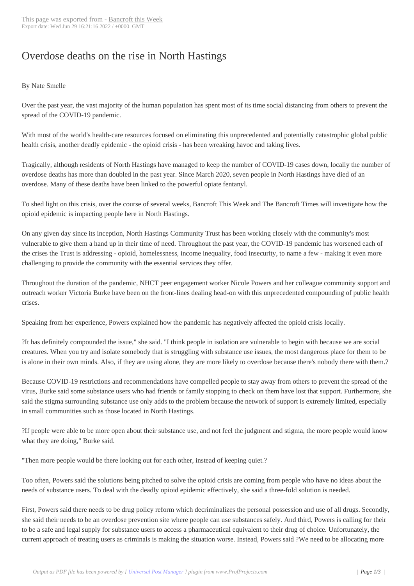## Overdose deaths o[n the rise in N](http://www.bancroftthisweek.com/?p=11446)orth Hastings

## By Nate Smelle

Over the past year, the vast majority of the human population has spent most of its time social distancing from others to prevent the spread of the COVID-19 pandemic.

With most of the world's health-care resources focused on eliminating this unprecedented and potentially catastrophic global public health crisis, another deadly epidemic - the opioid crisis - has been wreaking havoc and taking lives.

Tragically, although residents of North Hastings have managed to keep the number of COVID-19 cases down, locally the number of overdose deaths has more than doubled in the past year. Since March 2020, seven people in North Hastings have died of an overdose. Many of these deaths have been linked to the powerful opiate fentanyl.

To shed light on this crisis, over the course of several weeks, Bancroft This Week and The Bancroft Times will investigate how the opioid epidemic is impacting people here in North Hastings.

On any given day since its inception, North Hastings Community Trust has been working closely with the community's most vulnerable to give them a hand up in their time of need. Throughout the past year, the COVID-19 pandemic has worsened each of the crises the Trust is addressing - opioid, homelessness, income inequality, food insecurity, to name a few - making it even more challenging to provide the community with the essential services they offer.

Throughout the duration of the pandemic, NHCT peer engagement worker Nicole Powers and her colleague community support and outreach worker Victoria Burke have been on the front-lines dealing head-on with this unprecedented compounding of public health crises.

Speaking from her experience, Powers explained how the pandemic has negatively affected the opioid crisis locally.

?It has definitely compounded the issue," she said. "I think people in isolation are vulnerable to begin with because we are social creatures. When you try and isolate somebody that is struggling with substance use issues, the most dangerous place for them to be is alone in their own minds. Also, if they are using alone, they are more likely to overdose because there's nobody there with them.?

Because COVID-19 restrictions and recommendations have compelled people to stay away from others to prevent the spread of the virus, Burke said some substance users who had friends or family stopping to check on them have lost that support. Furthermore, she said the stigma surrounding substance use only adds to the problem because the network of support is extremely limited, especially in small communities such as those located in North Hastings.

?If people were able to be more open about their substance use, and not feel the judgment and stigma, the more people would know what they are doing," Burke said.

"Then more people would be there looking out for each other, instead of keeping quiet.?

Too often, Powers said the solutions being pitched to solve the opioid crisis are coming from people who have no ideas about the needs of substance users. To deal with the deadly opioid epidemic effectively, she said a three-fold solution is needed.

First, Powers said there needs to be drug policy reform which decriminalizes the personal possession and use of all drugs. Secondly, she said their needs to be an overdose prevention site where people can use substances safely. And third, Powers is calling for their to be a safe and legal supply for substance users to access a pharmaceutical equivalent to their drug of choice. Unfortunately, the current approach of treating users as criminals is making the situation worse. Instead, Powers said ?We need to be allocating more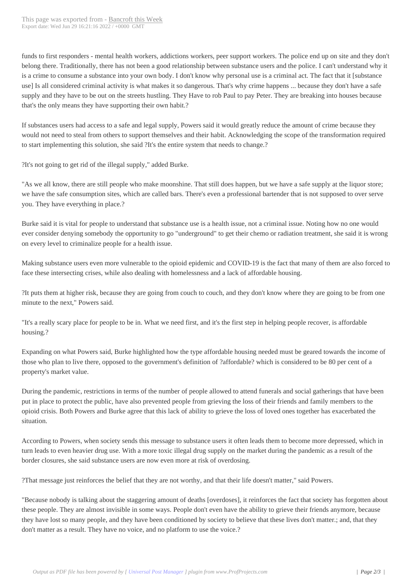funds to first responders - men[tal health workers, a](http://www.bancroftthisweek.com/?p=11446)ddictions workers, peer support workers. The police end up on site and they don't belong there. Traditionally, there has not been a good relationship between substance users and the police. I can't understand why it is a crime to consume a substance into your own body. I don't know why personal use is a criminal act. The fact that it [substance use] Is all considered criminal activity is what makes it so dangerous. That's why crime happens ... because they don't have a safe supply and they have to be out on the streets hustling. They Have to rob Paul to pay Peter. They are breaking into houses because that's the only means they have supporting their own habit.?

If substances users had access to a safe and legal supply, Powers said it would greatly reduce the amount of crime because they would not need to steal from others to support themselves and their habit. Acknowledging the scope of the transformation required to start implementing this solution, she said ?It's the entire system that needs to change.?

?It's not going to get rid of the illegal supply," added Burke.

"As we all know, there are still people who make moonshine. That still does happen, but we have a safe supply at the liquor store; we have the safe consumption sites, which are called bars. There's even a professional bartender that is not supposed to over serve you. They have everything in place.?

Burke said it is vital for people to understand that substance use is a health issue, not a criminal issue. Noting how no one would ever consider denying somebody the opportunity to go "underground" to get their chemo or radiation treatment, she said it is wrong on every level to criminalize people for a health issue.

Making substance users even more vulnerable to the opioid epidemic and COVID-19 is the fact that many of them are also forced to face these intersecting crises, while also dealing with homelessness and a lack of affordable housing.

?It puts them at higher risk, because they are going from couch to couch, and they don't know where they are going to be from one minute to the next," Powers said.

"It's a really scary place for people to be in. What we need first, and it's the first step in helping people recover, is affordable housing.?

Expanding on what Powers said, Burke highlighted how the type affordable housing needed must be geared towards the income of those who plan to live there, opposed to the government's definition of ?affordable? which is considered to be 80 per cent of a property's market value.

During the pandemic, restrictions in terms of the number of people allowed to attend funerals and social gatherings that have been put in place to protect the public, have also prevented people from grieving the loss of their friends and family members to the opioid crisis. Both Powers and Burke agree that this lack of ability to grieve the loss of loved ones together has exacerbated the situation.

According to Powers, when society sends this message to substance users it often leads them to become more depressed, which in turn leads to even heavier drug use. With a more toxic illegal drug supply on the market during the pandemic as a result of the border closures, she said substance users are now even more at risk of overdosing.

?That message just reinforces the belief that they are not worthy, and that their life doesn't matter," said Powers.

"Because nobody is talking about the staggering amount of deaths [overdoses], it reinforces the fact that society has forgotten about these people. They are almost invisible in some ways. People don't even have the ability to grieve their friends anymore, because they have lost so many people, and they have been conditioned by society to believe that these lives don't matter.; and, that they don't matter as a result. They have no voice, and no platform to use the voice.?